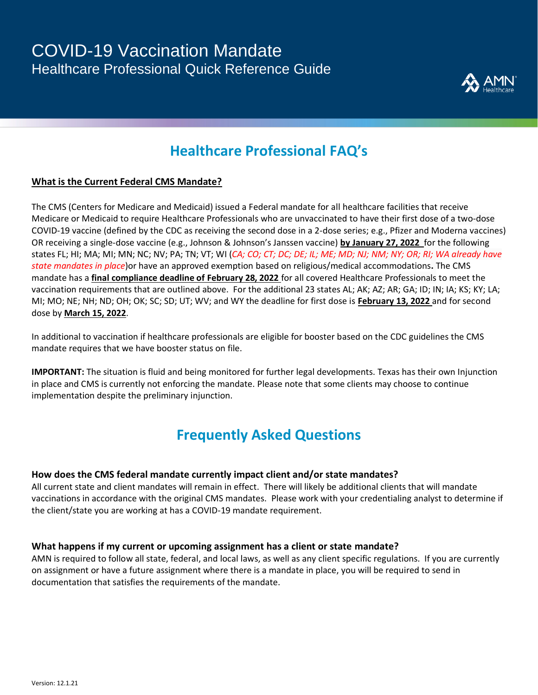

## **Healthcare Professional FAQ's**

### **What is the Current Federal CMS Mandate?**

The CMS (Centers for Medicare and Medicaid) issued a Federal mandate for all healthcare facilities that receive Medicare or Medicaid to require Healthcare Professionals who are unvaccinated to have their first dose of a two-dose COVID-19 vaccine (defined by the CDC as receiving the second dose in a 2-dose series; e.g., Pfizer and Moderna vaccines) OR receiving a single-dose vaccine (e.g., Johnson & Johnson's Janssen vaccine) **by January 27, 2022** for the following states FL; HI; MA; MI; MN; NC; NV; PA; TN; VT; WI (*CA; CO; CT; DC; DE; IL; ME; MD; NJ; NM; NY; OR; RI; WA already have state mandates in place*)or have an approved exemption based on religious/medical accommodations**.** The CMS mandate has a **final compliance deadline of February 28, 2022** for all covered Healthcare Professionals to meet the vaccination requirements that are outlined above. For the additional 23 states AL; AK; AZ; AR; GA; ID; IN; IA; KS; KY; LA; MI; MO; NE; NH; ND; OH; OK; SC; SD; UT; WV; and WY the deadline for first dose is **February 13, 2022** and for second dose by **March 15, 2022**.

In additional to vaccination if healthcare professionals are eligible for booster based on the CDC guidelines the CMS mandate requires that we have booster status on file.

**IMPORTANT:** The situation is fluid and being monitored for further legal developments. Texas has their own Injunction in place and CMS is currently not enforcing the mandate. Please note that some clients may choose to continue implementation despite the preliminary injunction.

## **Frequently Asked Questions**

#### **How does the CMS federal mandate currently impact client and/or state mandates?**

All current state and client mandates will remain in effect. There will likely be additional clients that will mandate vaccinations in accordance with the original CMS mandates. Please work with your credentialing analyst to determine if the client/state you are working at has a COVID-19 mandate requirement.

#### **What happens if my current or upcoming assignment has a client or state mandate?**

AMN is required to follow all state, federal, and local laws, as well as any client specific regulations. If you are currently on assignment or have a future assignment where there is a mandate in place, you will be required to send in documentation that satisfies the requirements of the mandate.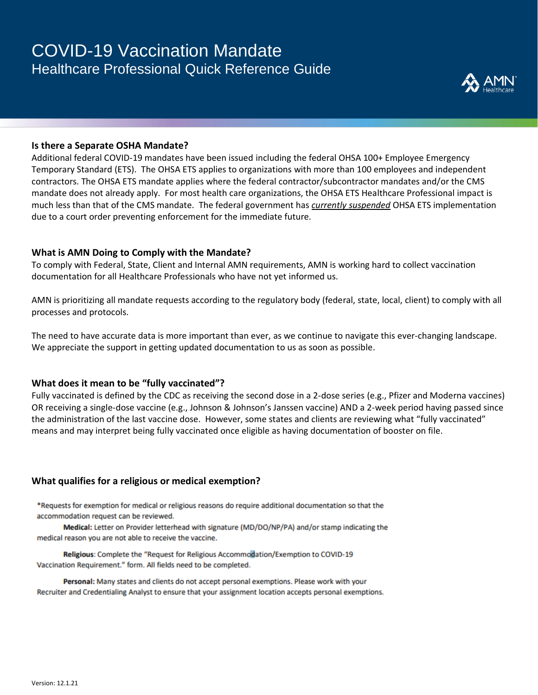## COVID-19 Vaccination Mandate Healthcare Professional Quick Reference Guide



#### **Is there a Separate OSHA Mandate?**

Additional federal COVID-19 mandates have been issued including the federal OHSA 100+ Employee Emergency Temporary Standard (ETS). The OHSA ETS applies to organizations with more than 100 employees and independent contractors. The OHSA ETS mandate applies where the federal contractor/subcontractor mandates and/or the CMS mandate does not already apply. For most health care organizations, the OHSA ETS Healthcare Professional impact is much less than that of the CMS mandate. The federal government has *currently suspended* OHSA ETS implementation due to a court order preventing enforcement for the immediate future.

#### **What is AMN Doing to Comply with the Mandate?**

To comply with Federal, State, Client and Internal AMN requirements, AMN is working hard to collect vaccination documentation for all Healthcare Professionals who have not yet informed us.

AMN is prioritizing all mandate requests according to the regulatory body (federal, state, local, client) to comply with all processes and protocols. 

The need to have accurate data is more important than ever, as we continue to navigate this ever-changing landscape. We appreciate the support in getting updated documentation to us as soon as possible.

#### **What does it mean to be "fully vaccinated"?**

Fully vaccinated is defined by the CDC as receiving the second dose in a 2-dose series (e.g., Pfizer and Moderna vaccines) OR receiving a single-dose vaccine (e.g., Johnson & Johnson's Janssen vaccine) AND a 2-week period having passed since the administration of the last vaccine dose. However, some states and clients are reviewing what "fully vaccinated" means and may interpret being fully vaccinated once eligible as having documentation of booster on file.

### **What qualifies for a religious or medical exemption?**

\*Requests for exemption for medical or religious reasons do require additional documentation so that the accommodation request can be reviewed.

Medical: Letter on Provider letterhead with signature (MD/DO/NP/PA) and/or stamp indicating the medical reason you are not able to receive the vaccine.

Religious: Complete the "Request for Religious Accommodation/Exemption to COVID-19 Vaccination Requirement." form. All fields need to be completed.

Personal: Many states and clients do not accept personal exemptions. Please work with your Recruiter and Credentialing Analyst to ensure that your assignment location accepts personal exemptions.